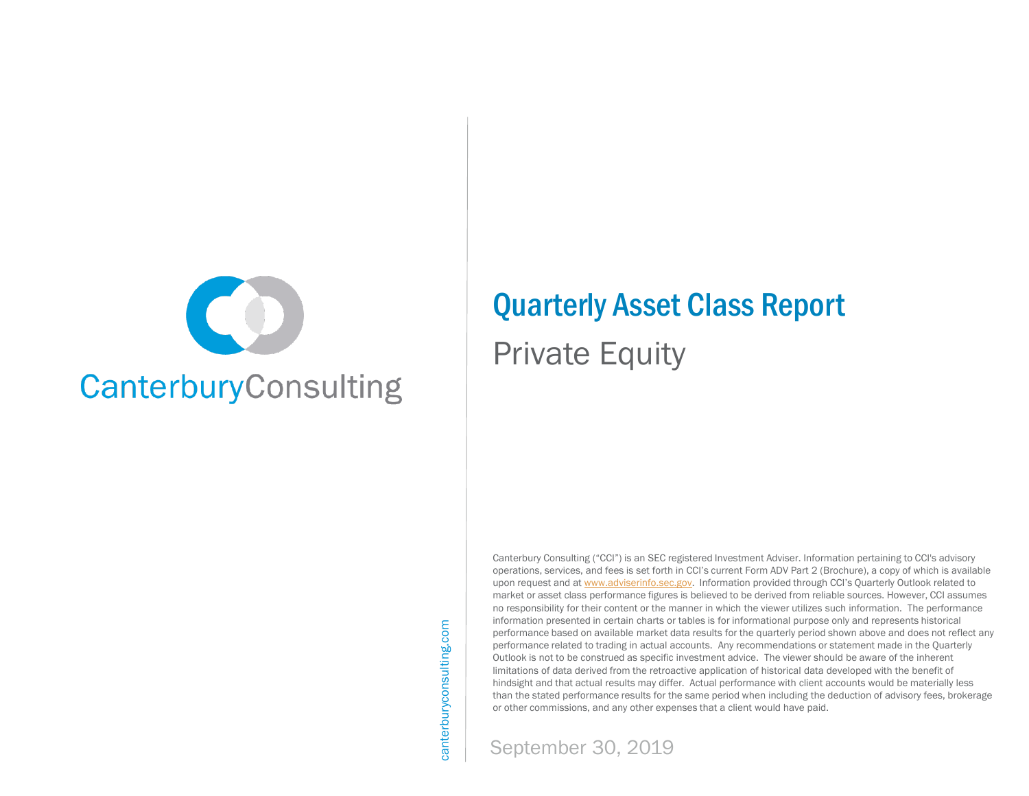

# Quarterly Asset Class Report

Private Equity

Canterbury Consulting ("CCI") is an SEC registered Investment Adviser. Information pertaining to CCI's advisory operations, services, and fees is set forth in CCI's current Form ADV Part 2 (Brochure), a copy of which is available upon request and at [www.adviserinfo.sec.gov.](http://www.adviserinfo.sec.gov/) Information provided through CCI's Quarterly Outlook related to market or asset class performance figures is believed to be derived from reliable sources. However, CCI assumes no responsibility for their content or the manner in which the viewer utilizes such information. The performance information presented in certain charts or tables is for informational purpose only and represents historical performance based on available market data results for the quarterly period shown above and does not reflect any performance related to trading in actual accounts. Any recommendations or statement made in the Quarterly Outlook is not to be construed as specific investment advice. The viewer should be aware of the inherent limitations of data derived from the retroactive application of historical data developed with the benefit of hindsight and that actual results may differ. Actual performance with client accounts would be materially less than the stated performance results for the same period when including the deduction of advisory fees, brokerage or other commissions, and any other expenses that a client would have paid.

canterburyconsulting.com canterburyconsulting.com

September 30, 2019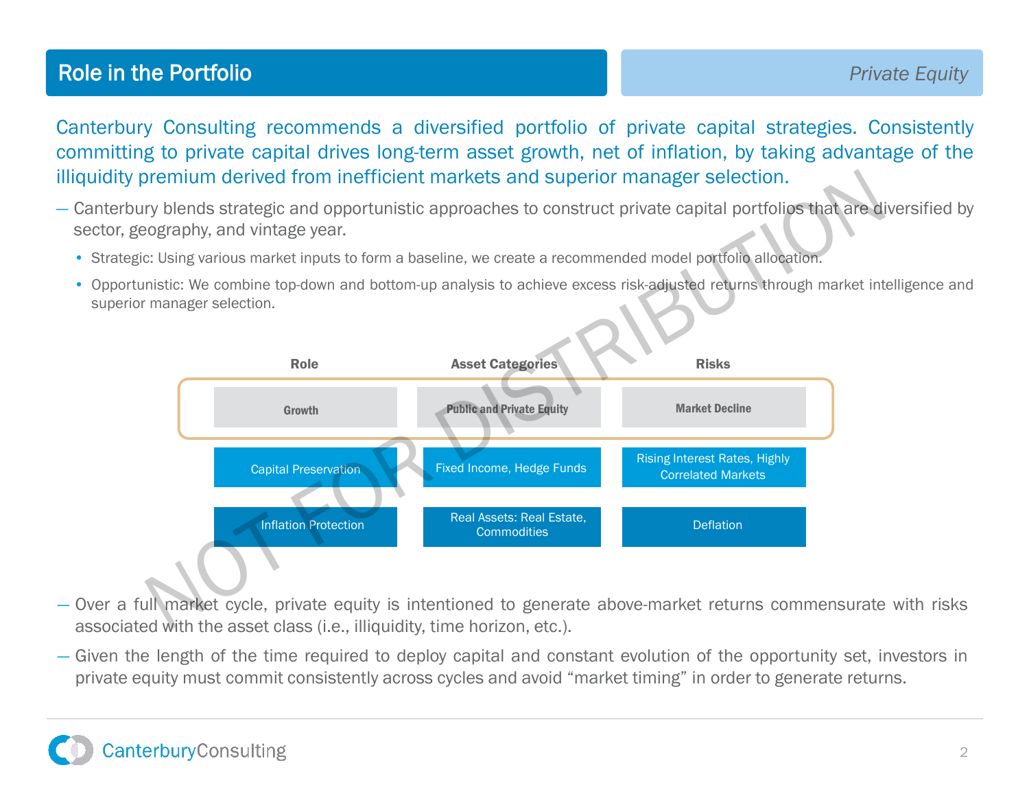## **Role in the Portfolio Private Equity Private Equity**

Canterbury Consulting recommends a diversified portfolio of private capital strategies. Consistently committing to private capital drives long-term asset growth, net of inflation, by taking advantage of the illiquidity premium derived from inefficient markets and superior manager selection.

- Canterbury blends strategic and opportunistic approaches to construct private capital portfolios that are diversified by sector, geography, and vintage year.
	- Strategic: Using various market inputs to form a baseline, we create a recommended model portfolio allocation.
	- Opportunistic: We combine top-down and bottom-up analysis to achieve excess risk-adjusted returns through market intelligence and superior manager selection.



- Over a full market cycle, private equity is intentioned to generate above-market returns commensurate with risks associated with the asset class (i.e., illiquidity, time horizon, etc.).
- Given the length of the time required to deploy capital and constant evolution of the opportunity set, investors in private equity must commit consistently across cycles and avoid "market timing" in order to generate returns.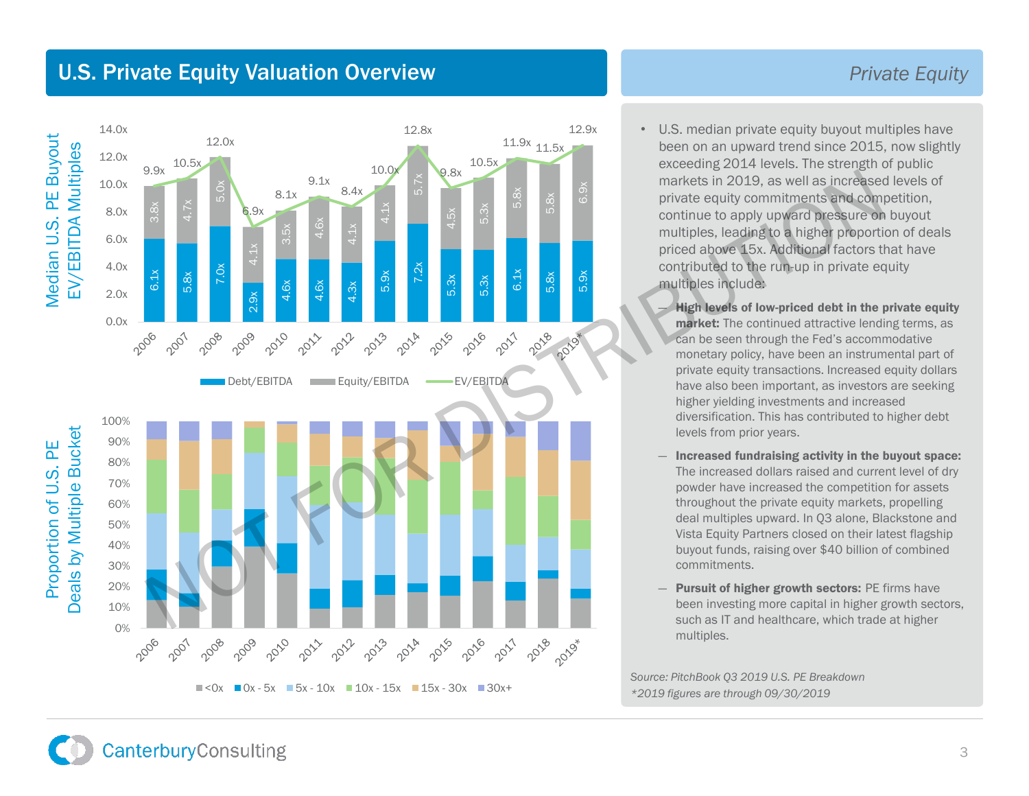### U.S. Private Equity Valuation Overview



#### *Private Equity*

- U.S. median private equity buyout multiples have been on an upward trend since 2015, now slightly exceeding 2014 levels. The strength of public markets in 2019, as well as increased levels of private equity commitments and competition, continue to apply upward pressure on buyout multiples, leading to a higher proportion of deals priced above 15x. Additional factors that have contributed to the run-up in private equity multiples include:
	- ― High levels of low-priced debt in the private equity market: The continued attractive lending terms, as can be seen through the Fed's accommodative monetary policy, have been an instrumental part of private equity transactions. Increased equity dollars have also been important, as investors are seeking higher yielding investments and increased diversification. This has contributed to higher debt levels from prior years.
	- ― Increased fundraising activity in the buyout space: The increased dollars raised and current level of dry powder have increased the competition for assets throughout the private equity markets, propelling deal multiples upward. In Q3 alone, Blackstone and Vista Equity Partners closed on their latest flagship buyout funds, raising over \$40 billion of combined commitments.
	- **Pursuit of higher growth sectors: PE firms have** been investing more capital in higher growth sectors, such as IT and healthcare, which trade at higher multiples.

*Source: PitchBook Q3 2019 U.S. PE Breakdown \*2019 figures are through 09/30/2019*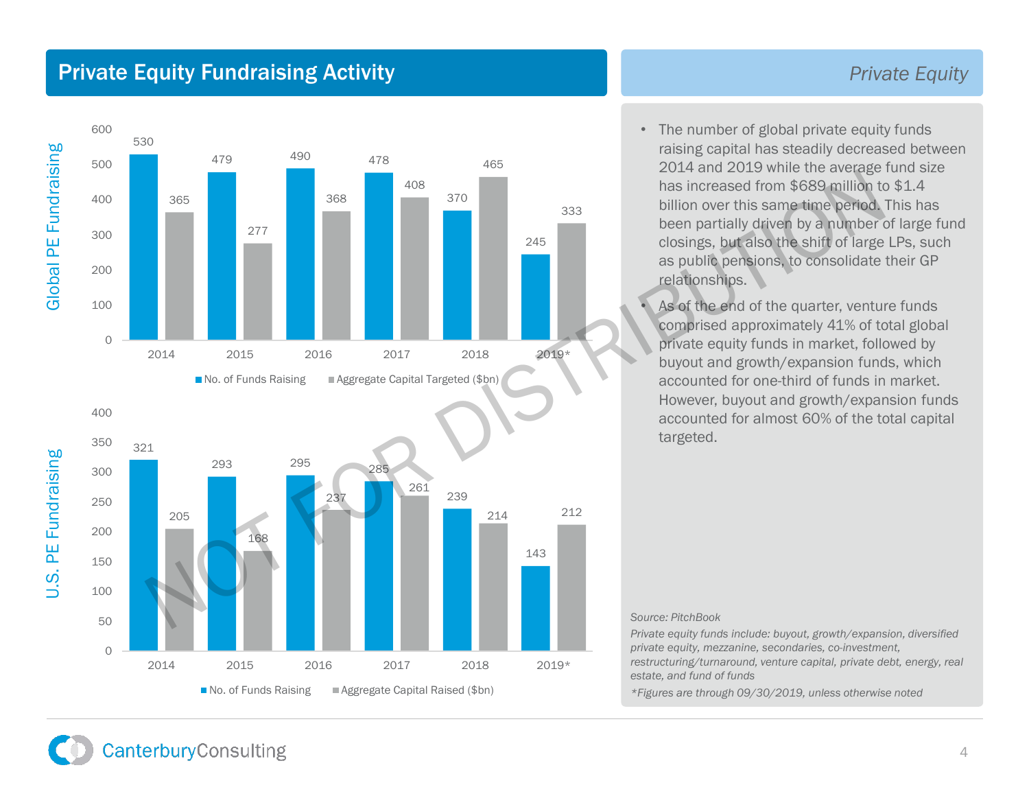### Private Equity Fundraising Activity *Private Equity*



• The number of global private equity funds raising capital has steadily decreased between 2014 and 2019 while the average fund size has increased from \$689 million to \$1.4 billion over this same time period. This has been partially driven by a number of large fund closings, but also the shift of large LPs, such as public pensions, to consolidate their GP relationships.

As of the end of the quarter, venture funds comprised approximately 41% of total global private equity funds in market, followed by buyout and growth/expansion funds, which accounted for one-third of funds in market. However, buyout and growth/expansion funds accounted for almost 60% of the total capital targeted.

#### *Source: PitchBook*

*Private equity funds include: buyout, growth/expansion, diversified private equity, mezzanine, secondaries, co-investment, restructuring/turnaround, venture capital, private debt, energy, real estate, and fund of funds*

*\*Figures are through 09/30/2019, unless otherwise noted*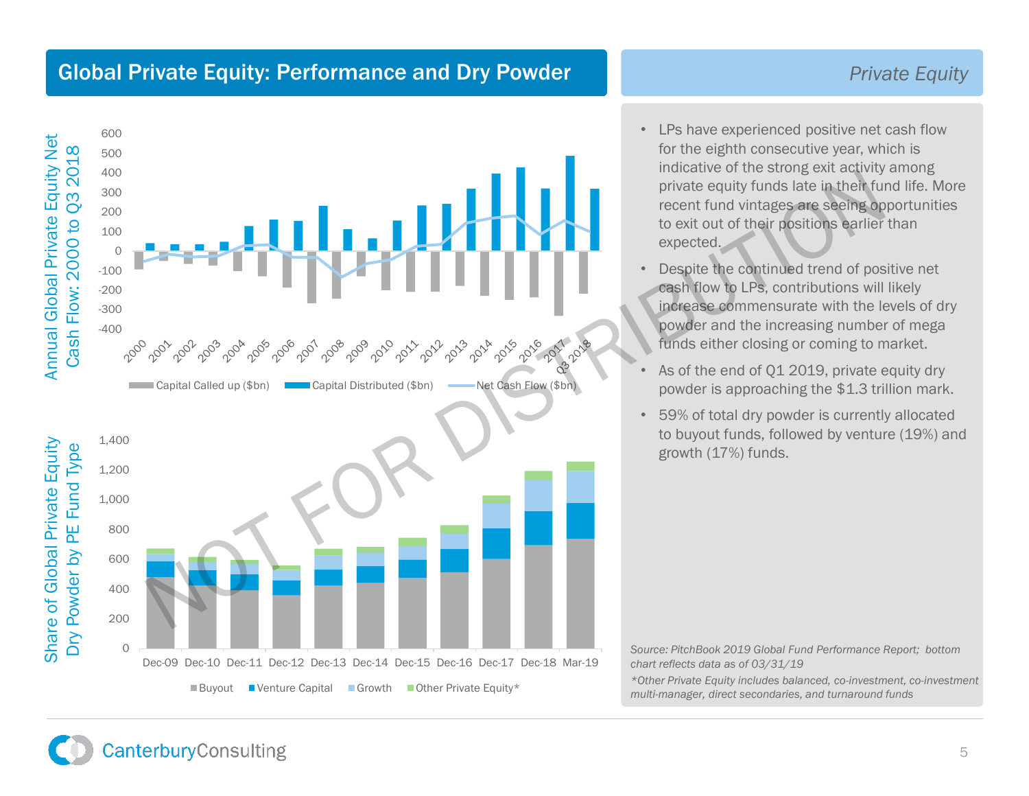### Global Private Equity: Performance and Dry Powder

#### 600 Annual Global Private Equity Net Annual Global Private Equity Net Cash Flow: 2000 to Q3 2018 Cash Flow: 2000 to Q3 2018 500 400 Accounting the spectrum of provide equity funds late in their functions and the internet functions and the contributions will<br>expected.<br>
The example of the contributions will be a contributions will be example to the contr 300 200 100 0 -100 -200 -300 -400<br>200<sup>0</sup> Capital Called up (\$bn) Capital Distributed (\$bn) ——Net Cash Flow (\$bn) Share of Global Private Equity 1,400 Share of Global Private Equity Dry Powder by PE Fund Type Dry Powder by PE Fund Type 1,200 1,000 800 600 400 200 0 Dec-09 Dec-10 Dec-11 Dec-12 Dec-13 Dec-14 Dec-15 Dec-16 Dec-17 Dec-18 Mar-19  $\blacksquare$  Buyout  $\blacksquare$  Venture Capital  $\blacksquare$  Growth  $\blacksquare$  Other Private Equity\*

- LPs have experienced positive net cash flow for the eighth consecutive year, which is indicative of the strong exit activity among private equity funds late in their fund life. More recent fund vintages are seeing opportunities to exit out of their positions earlier than expected.
- Despite the continued trend of positive net cash flow to LPs, contributions will likely increase commensurate with the levels of dry powder and the increasing number of mega funds either closing or coming to market.
- As of the end of Q1 2019, private equity dry powder is approaching the \$1.3 trillion mark.
- 59% of total dry powder is currently allocated to buyout funds, followed by venture (19%) and growth (17%) funds.

*Source: PitchBook 2019 Global Fund Performance Report; bottom chart reflects data as of 03/31/19*

*\*Other Private Equity includes balanced, co-investment, co-investment multi-manager, direct secondaries, and turnaround funds*

### *Private Equity*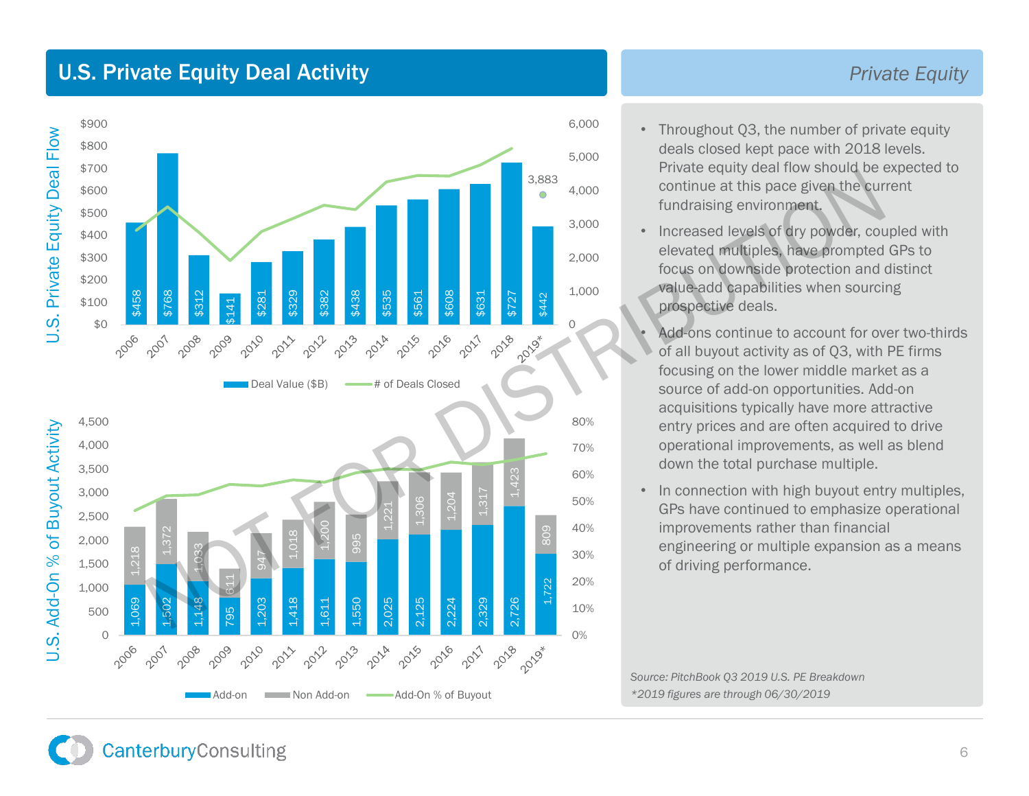### U.S. Private Equity Deal Activity



#### *Private Equity*

- Throughout Q3, the number of private equity deals closed kept pace with 2018 levels. Private equity deal flow should be expected to continue at this pace given the current fundraising environment.
- Increased levels of dry powder, coupled with elevated multiples, have prompted GPs to focus on downside protection and distinct value-add capabilities when sourcing prospective deals.

Add-ons continue to account for over two-thirds of all buyout activity as of Q3, with PE firms focusing on the lower middle market as a source of add-on opportunities. Add-on acquisitions typically have more attractive entry prices and are often acquired to drive operational improvements, as well as blend down the total purchase multiple.

• In connection with high buyout entry multiples, GPs have continued to emphasize operational improvements rather than financial engineering or multiple expansion as a means of driving performance.

*Source: PitchBook Q3 2019 U.S. PE Breakdown \*2019 figures are through 06/30/2019*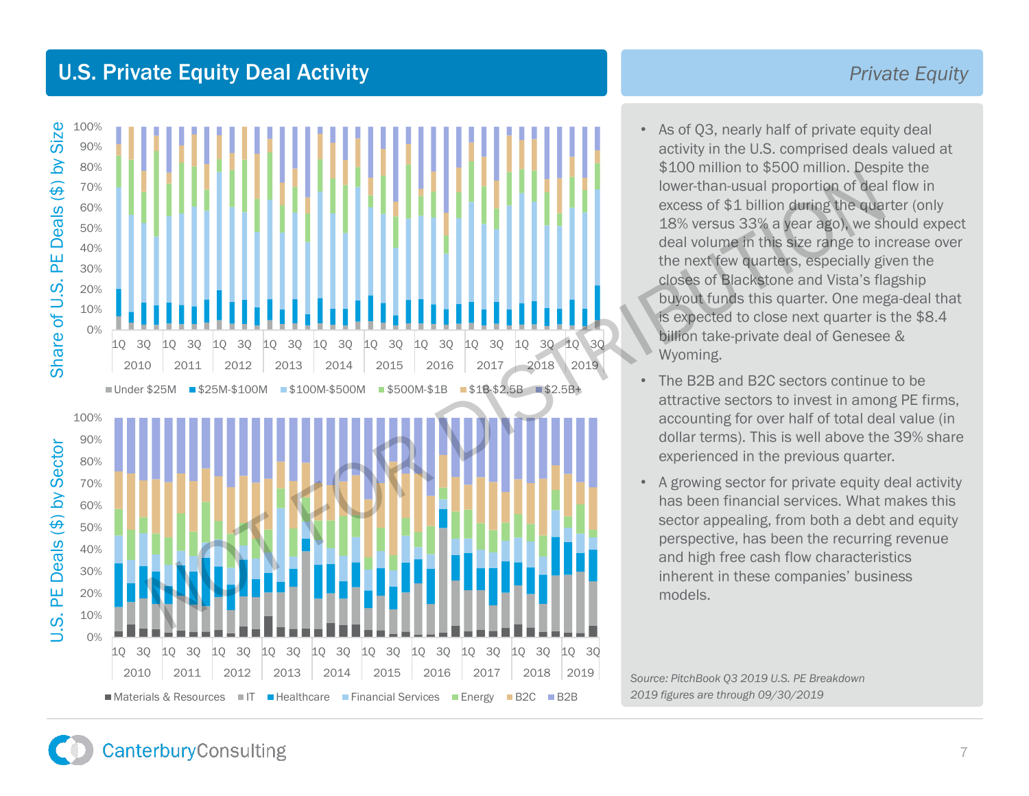### U.S. Private Equity Deal Activity



#### *Private Equity*

- As of Q3, nearly half of private equity deal activity in the U.S. comprised deals valued at \$100 million to \$500 million. Despite the lower-than-usual proportion of deal flow in excess of \$1 billion during the quarter (only 18% versus 33% a year ago), we should expect deal volume in this size range to increase over the next few quarters, especially given the closes of Blackstone and Vista's flagship buyout funds this quarter. One mega-deal that is expected to close next quarter is the \$8.4 billion take-private deal of Genesee & Wyoming.
- The B2B and B2C sectors continue to be attractive sectors to invest in among PE firms, accounting for over half of total deal value (in dollar terms). This is well above the 39% share experienced in the previous quarter.
- A growing sector for private equity deal activity has been financial services. What makes this sector appealing, from both a debt and equity perspective, has been the recurring revenue and high free cash flow characteristics inherent in these companies' business models.

*Source: PitchBook Q3 2019 U.S. PE Breakdown 2019 figures are through 09/30/2019*